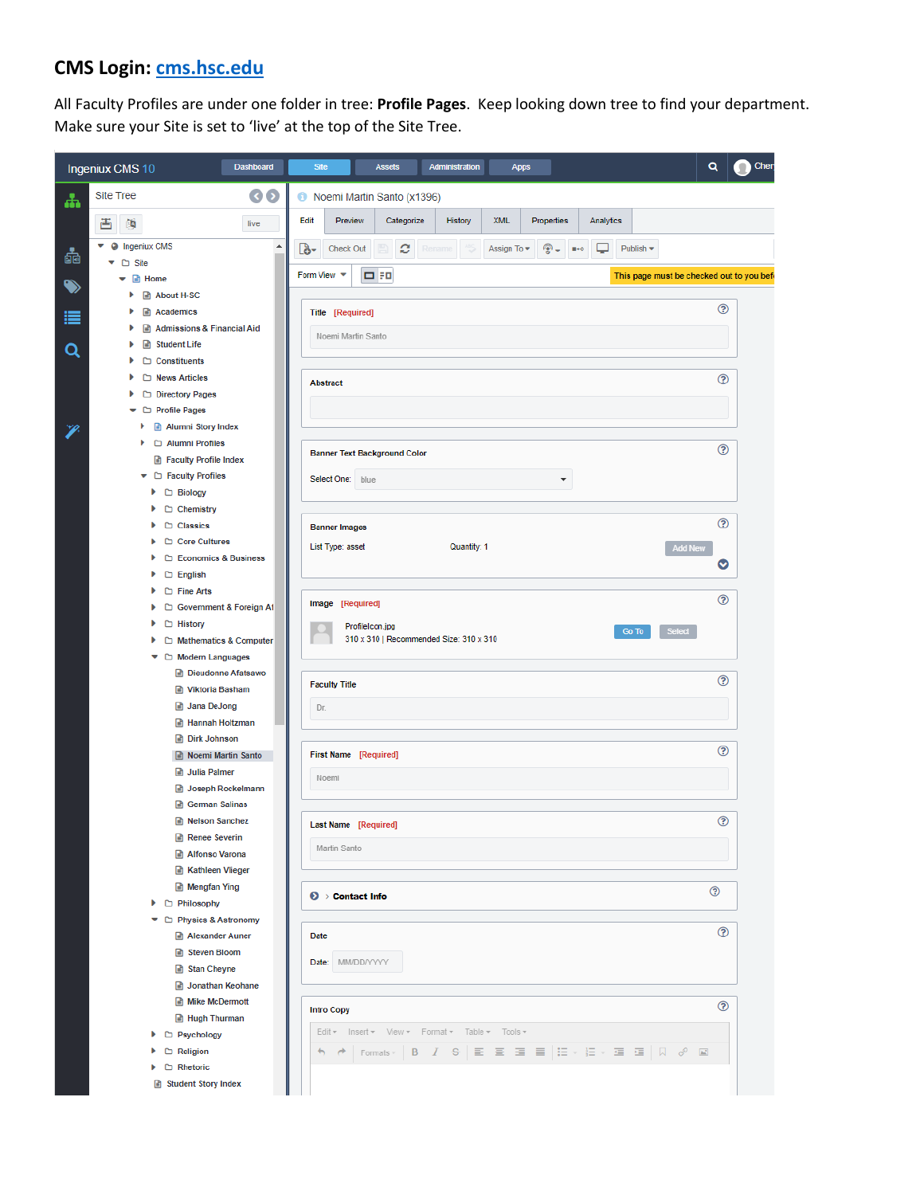## **CMS Login: [cms.hsc.edu](http://cms.hsc.edu/)**

All Faculty Profiles are under one folder in tree: **Profile Pages**. Keep looking down tree to find your department. Make sure your Site is set to 'live' at the top of the Site Tree.

|                      | Ingeniux CMS 10                                     | <b>Dashboard</b> | <b>Site</b>                    | <b>Assets</b>                       | Administration                                  | <b>Apps</b>                    |            |                                          |                                          | Q | Cher |
|----------------------|-----------------------------------------------------|------------------|--------------------------------|-------------------------------------|-------------------------------------------------|--------------------------------|------------|------------------------------------------|------------------------------------------|---|------|
| ሐ                    | <b>Site Tree</b>                                    | $\odot$          |                                | Noemi Martin Santo (x1396)          |                                                 |                                |            |                                          |                                          |   |      |
|                      | 酉<br>朗                                              | live             | Edit                           | Preview<br>Categorize               | History                                         | <b>XML</b>                     | Properties | Analytics                                |                                          |   |      |
| 4                    | <b>O</b> Ingeniux CMS                               | ۸                | తా<br><b>Check Out</b>         | c                                   | Rename                                          | Assign To $\blacktriangledown$ | ⊕.         | ◡<br>$\blacksquare \rightarrow \lozenge$ | Publish *                                |   |      |
| $\ddot{\phantom{0}}$ | □ Site<br><b>■ Home</b><br>v                        |                  | Form View $\blacktriangledown$ | <b>080</b>                          |                                                 |                                |            |                                          | This page must be checked out to you bef |   |      |
|                      | About H-SC<br>Þ<br>Academics                        |                  | Title [Required]               |                                     |                                                 |                                |            |                                          |                                          | ℗ |      |
| ≣                    | Admissions & Financial Aid                          |                  |                                | Noemi Martin Santo                  |                                                 |                                |            |                                          |                                          |   |      |
| Q                    | Student Life<br>٠<br>$\Box$ Constituents<br>٠       |                  |                                |                                     |                                                 |                                |            |                                          |                                          |   |      |
|                      | News Articles<br>٠                                  |                  | <b>Abstract</b>                |                                     |                                                 |                                |            |                                          |                                          | ℗ |      |
|                      | D Directory Pages<br>Þ<br>□ Profile Pages           |                  |                                |                                     |                                                 |                                |            |                                          |                                          |   |      |
| Þ                    | Alumni Story Index<br>٠                             |                  |                                |                                     |                                                 |                                |            |                                          |                                          |   |      |
|                      | Alumni Profiles<br>٠                                |                  |                                | <b>Banner Text Background Color</b> |                                                 |                                |            |                                          |                                          | ඹ |      |
|                      | Faculty Profile Index<br>Faculty Profiles           |                  | Select One: blue               |                                     |                                                 |                                |            |                                          |                                          |   |      |
|                      | $\blacktriangleright$ $\Box$ Biology                |                  |                                |                                     |                                                 |                                |            |                                          |                                          |   |      |
|                      | Þ<br>Chemistry<br>Classics<br>Þ                     |                  | <b>Banner Images</b>           |                                     |                                                 |                                |            |                                          |                                          | ℗ |      |
|                      | Core Cultures<br>٠                                  |                  | List Type: asset               |                                     | Quantity: 1                                     |                                |            |                                          | <b>Add New</b>                           |   |      |
|                      | □ Economics & Business<br>Þ.<br>□ English<br>Þ.     |                  |                                |                                     |                                                 |                                |            |                                          |                                          | O |      |
|                      | Fine Arts<br>Þ.                                     |                  |                                |                                     |                                                 |                                |            |                                          |                                          | ℗ |      |
|                      | Government & Foreign Af<br>٠<br>□ History<br>٠      |                  | Image [Required]               |                                     |                                                 |                                |            |                                          |                                          |   |      |
|                      | Þ<br>□ Mathematics & Computer                       |                  |                                | ProfileIcon.jpg                     | 310 x 310   Recommended Size: 310 x 310         |                                |            |                                          | Select<br>Go To                          |   |      |
|                      | ▼ □ Modern Languages                                |                  |                                |                                     |                                                 |                                |            |                                          |                                          |   |      |
|                      | Dieudonne Afatsawo<br>Viktoria Basham               |                  | <b>Faculty Title</b>           |                                     |                                                 |                                |            |                                          |                                          | ℗ |      |
|                      | <b>B</b> Jana DeJong                                |                  | Dr.                            |                                     |                                                 |                                |            |                                          |                                          |   |      |
|                      | <b>B</b> Hannah Holtzman<br><b>Dirk Johnson</b>     |                  |                                |                                     |                                                 |                                |            |                                          |                                          |   |      |
|                      | Noemi Martin Santo                                  |                  |                                | First Name [Required]               |                                                 |                                |            |                                          |                                          | ☺ |      |
|                      | <b>B</b> Julia Palmer<br><b>a</b> Joseph Rockelmann |                  | Noemi                          |                                     |                                                 |                                |            |                                          |                                          |   |      |
|                      | <b>German Salinas</b><br>B                          |                  |                                |                                     |                                                 |                                |            |                                          |                                          |   |      |
|                      | R Nelson Sanchez<br>Renee Severing                  |                  |                                | Last Name [Required]                |                                                 |                                |            |                                          |                                          | ☺ |      |
|                      | Alfonso Varona                                      |                  | Martin Santo                   |                                     |                                                 |                                |            |                                          |                                          |   |      |
|                      | Kathleen Vlieger<br><b>Mengfan Ying</b>             |                  |                                |                                     |                                                 |                                |            |                                          |                                          |   |      |
|                      | ▶ □ Philosophy                                      |                  | $\odot$ > Contact Info         |                                     |                                                 |                                |            |                                          |                                          | ☺ |      |
|                      | ▼ □ Physics & Astronomy<br>Alexander Auner          |                  | Date                           |                                     |                                                 |                                |            |                                          |                                          | ℗ |      |
|                      | <b>R</b> Steven Bloom                               |                  | Date: MM/DD/YYYY               |                                     |                                                 |                                |            |                                          |                                          |   |      |
|                      | Stan Cheyne<br><b>a</b> Jonathan Keohane            |                  |                                |                                     |                                                 |                                |            |                                          |                                          |   |      |
|                      | <b>Mike McDermott</b>                               |                  | <b>Intro Copy</b>              |                                     |                                                 |                                |            |                                          |                                          | ☺ |      |
|                      | <b>B</b> Hugh Thurman                               |                  |                                |                                     | Edit = Insert = View = Format = Table = Tools = |                                |            |                                          |                                          |   |      |
|                      | ▶ □ Psychology<br>$\Box$ Religion<br>٠              |                  | $\rightarrow$                  |                                     |                                                 |                                |            |                                          |                                          |   |      |
|                      | $\Box$ Rhetoric<br>٠                                |                  |                                |                                     |                                                 |                                |            |                                          |                                          |   |      |
|                      | Student Story Index                                 |                  |                                |                                     |                                                 |                                |            |                                          |                                          |   |      |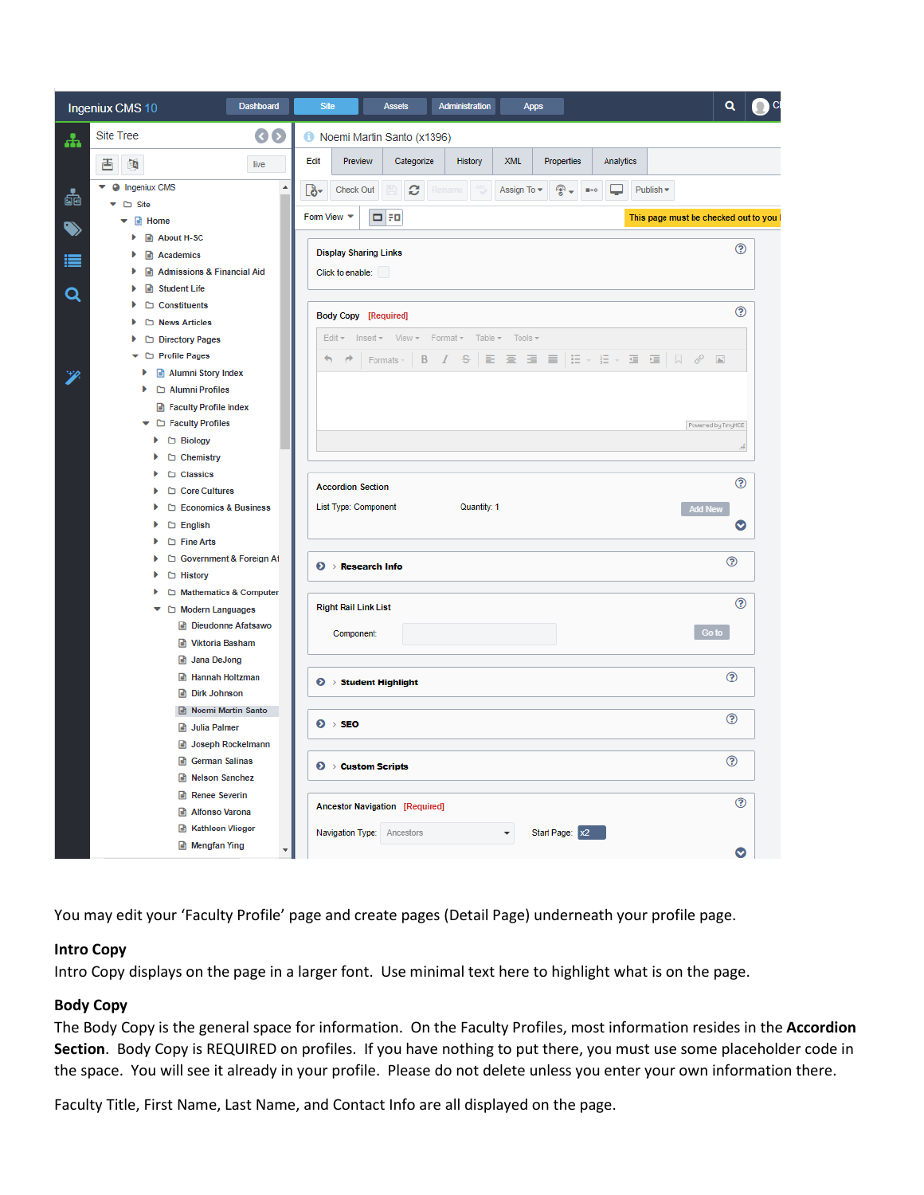|    | Ingeniux CMS 10                                 | <b>Dashboard</b>         | <b>Site</b>                           | <b>Assets</b>                                   | Administration | <b>Apps</b>                    |                                 |           |                                             | Q                   |  |
|----|-------------------------------------------------|--------------------------|---------------------------------------|-------------------------------------------------|----------------|--------------------------------|---------------------------------|-----------|---------------------------------------------|---------------------|--|
|    | $\odot$<br><b>Site Tree</b><br>ሐ                |                          | Noemi Martin Santo (x1396)            |                                                 |                |                                |                                 |           |                                             |                     |  |
|    | 酉<br>陌                                          | live                     | Edit<br>Preview                       | Categorize                                      | <b>History</b> | XML                            | Properties                      | Analytics |                                             |                     |  |
| do | <b>O</b> Ingeniux CMS<br>$\Box$ Site            | $\blacktriangle$         | Check Out<br>[გ-                      | c                                               | Rename         | Assign To $\blacktriangledown$ | 좋ㅜ<br>$\mathbf{H} \bullet \Phi$ |           | Publish -                                   |                     |  |
|    | $\bullet$ <b>a</b> Home                         |                          | Form View $\blacktriangledown$        | $\Box$ FO                                       |                |                                |                                 |           | This page must be checked out to you I      |                     |  |
|    | About H-SC<br>Þ                                 |                          | <b>Display Sharing Links</b>          |                                                 |                |                                |                                 |           |                                             | ℗                   |  |
|    | Academics<br>Admissions & Financial Aid<br>ь    |                          | Click to enable:                      |                                                 |                |                                |                                 |           |                                             |                     |  |
|    | Student Life                                    |                          |                                       |                                                 |                |                                |                                 |           |                                             |                     |  |
| Q  | $\Box$ Constituents<br>Þ                        |                          |                                       |                                                 |                |                                |                                 |           |                                             |                     |  |
|    | News Articles                                   |                          | <b>Body Copy [Required]</b>           |                                                 |                |                                |                                 |           |                                             | $\circledR$         |  |
|    | D Directory Pages                               |                          |                                       | Edit * Insert * View * Format * Table * Tools * |                |                                |                                 |           |                                             |                     |  |
|    | Profile Pages                                   |                          | €<br>À                                | B<br>Formats -                                  |                |                                |                                 |           | / S   E   H   H   H   H   H   H   D   8   M |                     |  |
|    | Alumni Story Index                              |                          |                                       |                                                 |                |                                |                                 |           |                                             |                     |  |
|    | Alumni Profiles                                 |                          |                                       |                                                 |                |                                |                                 |           |                                             |                     |  |
|    | Faculty Profile Index                           |                          |                                       |                                                 |                |                                |                                 |           |                                             |                     |  |
|    | Faculty Profiles                                |                          |                                       |                                                 |                |                                |                                 |           |                                             | Power-ed by TinyHCE |  |
|    | □ Biology<br>٠                                  |                          |                                       |                                                 |                |                                |                                 |           |                                             |                     |  |
|    | ۱<br>Chemistry<br>Classics<br>٠                 |                          |                                       |                                                 |                |                                |                                 |           |                                             |                     |  |
|    | Core Cultures<br>۱                              |                          | <b>Accordion Section</b>              |                                                 |                |                                |                                 |           |                                             | ℗                   |  |
|    | □ Economics & Business<br>٠                     |                          | List Type: Component                  |                                                 | Quantity: 1    |                                |                                 |           |                                             | <b>Add New</b>      |  |
|    | $\Box$ English<br>٠                             |                          |                                       |                                                 |                |                                |                                 |           |                                             | O                   |  |
|    | $\Box$ Fine Arts                                |                          |                                       |                                                 |                |                                |                                 |           |                                             |                     |  |
|    | ۱                                               | Government & Foreign Af  |                                       |                                                 |                |                                |                                 |           |                                             | ඹ                   |  |
|    | □ History<br>Þ                                  |                          | $\odot$ > Research Info               |                                                 |                |                                |                                 |           |                                             |                     |  |
|    | Þ                                               | Mathematics & Computer   |                                       |                                                 |                |                                |                                 |           |                                             |                     |  |
|    | ۰<br>Modern Languages                           |                          | <b>Right Rail Link List</b>           |                                                 |                |                                |                                 |           |                                             | ℗                   |  |
|    |                                                 | Dieudonne Afatsawo       | Component:                            |                                                 |                |                                |                                 |           |                                             | Go to               |  |
|    | Viktoria Basham                                 |                          |                                       |                                                 |                |                                |                                 |           |                                             |                     |  |
|    | <b>B</b> Jana DeJong                            |                          |                                       |                                                 |                |                                |                                 |           |                                             |                     |  |
|    | <b>A</b> Hannah Holtzman<br><b>Dirk Johnson</b> |                          | $\odot \rightarrow$ Student Highlight |                                                 |                |                                |                                 |           |                                             | ℗                   |  |
|    | Noemi Martin Santo                              |                          |                                       |                                                 |                |                                |                                 |           |                                             |                     |  |
|    | <b>B</b> Julia Palmer                           |                          | $0 \rightarrow$ SEO                   |                                                 |                |                                |                                 |           |                                             | ℗                   |  |
|    |                                                 | Joseph Rockelmann        |                                       |                                                 |                |                                |                                 |           |                                             |                     |  |
|    | German Salinas                                  |                          | $\odot$ > Custom Scripts              |                                                 |                |                                |                                 |           |                                             | ℗                   |  |
|    | Relson Sanchez                                  |                          |                                       |                                                 |                |                                |                                 |           |                                             |                     |  |
|    | Renee Severin                                   |                          |                                       |                                                 |                |                                |                                 |           |                                             | $\odot$             |  |
|    | Alfonso Varona                                  |                          | Ancestor Navigation [Required]        |                                                 |                |                                |                                 |           |                                             |                     |  |
|    | Kathleen Vlieger                                |                          | Navigation Type: Ancestors            |                                                 |                | ▼                              | Start Page: x2                  |           |                                             |                     |  |
|    | Mengfan Ying                                    | $\overline{\phantom{a}}$ |                                       |                                                 |                |                                |                                 |           |                                             | $\bullet$           |  |

You may edit your 'Faculty Profile' page and create pages (Detail Page) underneath your profile page.

## **Intro Copy**

Intro Copy displays on the page in a larger font. Use minimal text here to highlight what is on the page.

## **Body Copy**

The Body Copy is the general space for information. On the Faculty Profiles, most information resides in the **Accordion Section**. Body Copy is REQUIRED on profiles. If you have nothing to put there, you must use some placeholder code in the space. You will see it already in your profile. Please do not delete unless you enter your own information there.

Faculty Title, First Name, Last Name, and Contact Info are all displayed on the page.